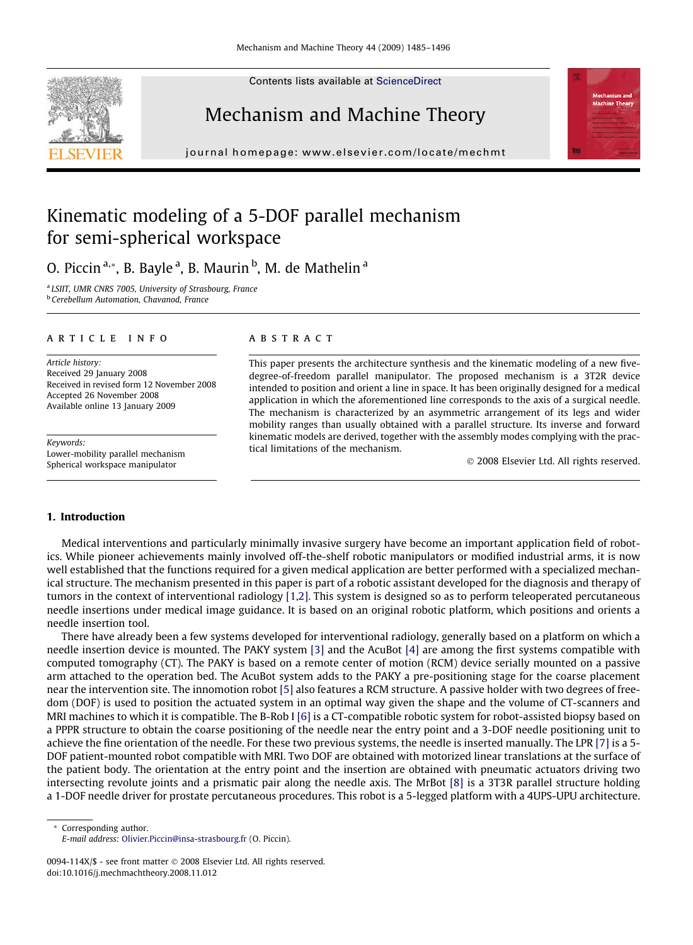Contents lists available at [ScienceDirect](http://www.sciencedirect.com/science/journal/0094114X)





journal homepage: [www.elsevier.com/locate/mechmt](http://www.elsevier.com/locate/mechmt)



# Kinematic modeling of a 5-DOF parallel mechanism for semi-spherical workspace

O. Piccin <sup>a,</sup>\*, B. Bayle <sup>a</sup>, B. Maurin <sup>b</sup>, M. de Mathelin <sup>a</sup>

<sup>a</sup> LSIIT, UMR CNRS 7005, University of Strasbourg, France <sup>b</sup> Cerebellum Automation, Chavanod, France

#### article info

Article history: Received 29 January 2008 Received in revised form 12 November 2008 Accepted 26 November 2008 Available online 13 January 2009

Keywords: Lower-mobility parallel mechanism Spherical workspace manipulator

#### **ABSTRACT**

This paper presents the architecture synthesis and the kinematic modeling of a new fivedegree-of-freedom parallel manipulator. The proposed mechanism is a 3T2R device intended to position and orient a line in space. It has been originally designed for a medical application in which the aforementioned line corresponds to the axis of a surgical needle. The mechanism is characterized by an asymmetric arrangement of its legs and wider mobility ranges than usually obtained with a parallel structure. Its inverse and forward kinematic models are derived, together with the assembly modes complying with the practical limitations of the mechanism.

- 2008 Elsevier Ltd. All rights reserved.

## 1. Introduction

Medical interventions and particularly minimally invasive surgery have become an important application field of robotics. While pioneer achievements mainly involved off-the-shelf robotic manipulators or modified industrial arms, it is now well established that the functions required for a given medical application are better performed with a specialized mechanical structure. The mechanism presented in this paper is part of a robotic assistant developed for the diagnosis and therapy of tumors in the context of interventional radiology [\[1,2\]](#page-11-0). This system is designed so as to perform teleoperated percutaneous needle insertions under medical image guidance. It is based on an original robotic platform, which positions and orients a needle insertion tool.

There have already been a few systems developed for interventional radiology, generally based on a platform on which a needle insertion device is mounted. The PAKY system [\[3\]](#page-11-0) and the AcuBot [\[4\]](#page-11-0) are among the first systems compatible with computed tomography (CT). The PAKY is based on a remote center of motion (RCM) device serially mounted on a passive arm attached to the operation bed. The AcuBot system adds to the PAKY a pre-positioning stage for the coarse placement near the intervention site. The innomotion robot [\[5\]](#page-11-0) also features a RCM structure. A passive holder with two degrees of freedom (DOF) is used to position the actuated system in an optimal way given the shape and the volume of CT-scanners and MRI machines to which it is compatible. The B-Rob I [\[6\]](#page-11-0) is a CT-compatible robotic system for robot-assisted biopsy based on a PPPR structure to obtain the coarse positioning of the needle near the entry point and a 3-DOF needle positioning unit to achieve the fine orientation of the needle. For these two previous systems, the needle is inserted manually. The LPR [\[7\]](#page-11-0) is a 5- DOF patient-mounted robot compatible with MRI. Two DOF are obtained with motorized linear translations at the surface of the patient body. The orientation at the entry point and the insertion are obtained with pneumatic actuators driving two intersecting revolute joints and a prismatic pair along the needle axis. The MrBot [\[8\]](#page-11-0) is a 3T3R parallel structure holding a 1-DOF needle driver for prostate percutaneous procedures. This robot is a 5-legged platform with a 4UPS-UPU architecture.

\* Corresponding author. E-mail address: [Olivier.Piccin@insa-strasbourg.fr](mailto:Olivier.Piccin@insa-strasbourg.fr) (O. Piccin).

<sup>0094-114</sup>X/\$ - see front matter © 2008 Elsevier Ltd. All rights reserved. doi:10.1016/j.mechmachtheory.2008.11.012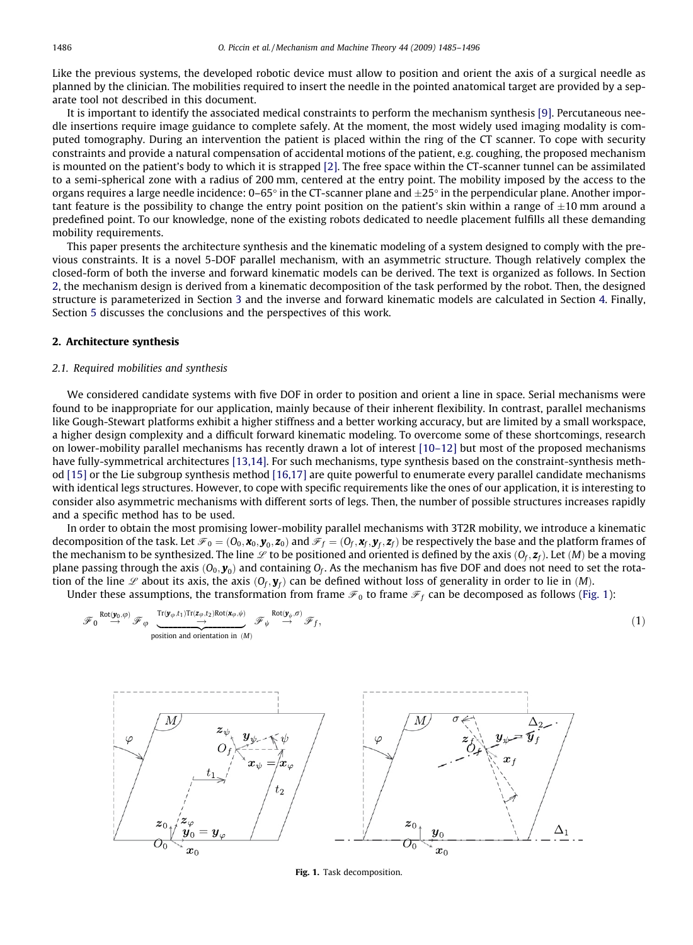<span id="page-1-0"></span>Like the previous systems, the developed robotic device must allow to position and orient the axis of a surgical needle as planned by the clinician. The mobilities required to insert the needle in the pointed anatomical target are provided by a separate tool not described in this document.

It is important to identify the associated medical constraints to perform the mechanism synthesis [\[9\].](#page-11-0) Percutaneous needle insertions require image guidance to complete safely. At the moment, the most widely used imaging modality is computed tomography. During an intervention the patient is placed within the ring of the CT scanner. To cope with security constraints and provide a natural compensation of accidental motions of the patient, e.g. coughing, the proposed mechanism is mounted on the patient's body to which it is strapped [\[2\]](#page-11-0). The free space within the CT-scanner tunnel can be assimilated to a semi-spherical zone with a radius of 200 mm, centered at the entry point. The mobility imposed by the access to the organs requires a large needle incidence: 0–65° in the CT-scanner plane and  $\pm 25^\circ$  in the perpendicular plane. Another important feature is the possibility to change the entry point position on the patient's skin within a range of  $\pm 10$  mm around a predefined point. To our knowledge, none of the existing robots dedicated to needle placement fulfills all these demanding mobility requirements.

This paper presents the architecture synthesis and the kinematic modeling of a system designed to comply with the previous constraints. It is a novel 5-DOF parallel mechanism, with an asymmetric structure. Though relatively complex the closed-form of both the inverse and forward kinematic models can be derived. The text is organized as follows. In Section 2, the mechanism design is derived from a kinematic decomposition of the task performed by the robot. Then, the designed structure is parameterized in Section 3 and the inverse and forward kinematic models are calculated in Section 4. Finally, Section 5 discusses the conclusions and the perspectives of this work.

# 2. Architecture synthesis

#### 2.1. Required mobilities and synthesis

We considered candidate systems with five DOF in order to position and orient a line in space. Serial mechanisms were found to be inappropriate for our application, mainly because of their inherent flexibility. In contrast, parallel mechanisms like Gough-Stewart platforms exhibit a higher stiffness and a better working accuracy, but are limited by a small workspace, a higher design complexity and a difficult forward kinematic modeling. To overcome some of these shortcomings, research on lower-mobility parallel mechanisms has recently drawn a lot of interest [\[10–12\]](#page-11-0) but most of the proposed mechanisms have fully-symmetrical architectures [\[13,14\]](#page-11-0). For such mechanisms, type synthesis based on the constraint-synthesis method [\[15\]](#page-11-0) or the Lie subgroup synthesis method [\[16,17\]](#page-11-0) are quite powerful to enumerate every parallel candidate mechanisms with identical legs structures. However, to cope with specific requirements like the ones of our application, it is interesting to consider also asymmetric mechanisms with different sorts of legs. Then, the number of possible structures increases rapidly and a specific method has to be used.

In order to obtain the most promising lower-mobility parallel mechanisms with 3T2R mobility, we introduce a kinematic decomposition of the task. Let  $\mathcal{F}_0 = (0_0, \mathbf{x}_0, \mathbf{y}_0, \mathbf{z}_0)$  and  $\mathcal{F}_f = (0_f, \mathbf{x}_f, \mathbf{y}_f, \mathbf{z}_f)$  be respectively the base and the platform frames of the mechanism to be synthesized. The line  $\mathscr L$  to be positioned and oriented is defined by the axis  $(0_f, z_f)$ . Let  $(M)$  be a moving plane passing through the axis  $(0_0, y_0)$  and containing  $0_f$ . As the mechanism has five DOF and does not need to set the rotation of the line  $\mathscr L$  about its axis, the axis  $(O_f, \mathbf{y}_f)$  can be defined without loss of generality in order to lie in  $(M)$ .

Under these assumptions, the transformation from frame  $\mathscr{F}_0$  to frame  $\mathscr{F}_f$  can be decomposed as follows (Fig. 1):

$$
\mathscr{F}_0 \stackrel{\text{Rot}(\mathbf{y}_0, \varphi)}{\rightarrow} \mathscr{F}_{\varphi} \underbrace{\underbrace{\text{Tr}(\mathbf{y}_{\varphi}, t_1) \text{Tr}(\mathbf{z}_{\varphi}, t_2) \text{Rot}(\mathbf{x}_{\varphi}, \psi)}_{\text{position and orientation in } (M)} \mathscr{F}_{\psi} \stackrel{\text{Rot}(\mathbf{y}_{\psi}, \sigma)}{\rightarrow} \mathscr{F}_f, \tag{1}
$$



Fig. 1. Task decomposition.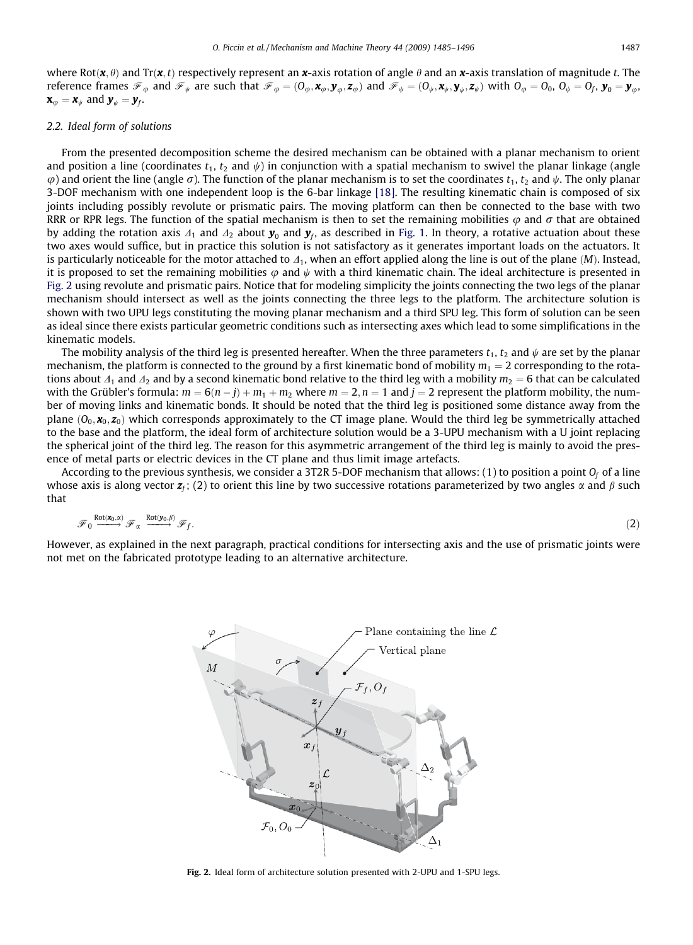<span id="page-2-0"></span>where Rot $(x, \theta)$  and Tr $(x, t)$  respectively represent an x-axis rotation of angle  $\theta$  and an x-axis translation of magnitude t. The reference frames  $\mathcal{F}_{\varphi}$  and  $\mathcal{F}_{\psi}$  are such that  $\mathcal{F}_{\varphi} = (O_{\varphi}, \mathbf{x}_{\varphi}, \mathbf{y}_{\varphi}, \mathbf{z}_{\varphi})$  and  $\mathcal{F}_{\psi} = (O_{\psi}, \mathbf{x}_{\psi}, \mathbf{y}_{\psi}, \mathbf{z}_{\psi})$  with  $O_{\varphi} = O_{0}$ ,  $O_{\psi} = O_{f}$ ,  $\mathbf{y}_{0} = \mathbf{y}_{\varphi}$ ,  $\mathbf{x}_{\omega} = \mathbf{x}_{\psi}$  and  $\mathbf{y}_{\psi} = \mathbf{y}_{f}$ .

#### 2.2. Ideal form of solutions

From the presented decomposition scheme the desired mechanism can be obtained with a planar mechanism to orient and position a line (coordinates  $t_1$ ,  $t_2$  and  $\psi$ ) in conjunction with a spatial mechanism to swivel the planar linkage (angle  $\varphi$ ) and orient the line (angle  $\sigma$ ). The function of the planar mechanism is to set the coordinates  $t_1, t_2$  and  $\psi$ . The only planar 3-DOF mechanism with one independent loop is the 6-bar linkage [\[18\]](#page-11-0). The resulting kinematic chain is composed of six joints including possibly revolute or prismatic pairs. The moving platform can then be connected to the base with two RRR or RPR legs. The function of the spatial mechanism is then to set the remaining mobilities  $\varphi$  and  $\sigma$  that are obtained by adding the rotation axis  $\Delta_1$  and  $\Delta_2$  about  $\mathbf{y}_0$  and  $\mathbf{y}_f$ , as described in [Fig. 1](#page-1-0). In theory, a rotative actuation about these two axes would suffice, but in practice this solution is not satisfactory as it generates important loads on the actuators. It is particularly noticeable for the motor attached to  $\Delta_1$ , when an effort applied along the line is out of the plane (M). Instead, it is proposed to set the remaining mobilities  $\varphi$  and  $\psi$  with a third kinematic chain. The ideal architecture is presented in Fig. 2 using revolute and prismatic pairs. Notice that for modeling simplicity the joints connecting the two legs of the planar mechanism should intersect as well as the joints connecting the three legs to the platform. The architecture solution is shown with two UPU legs constituting the moving planar mechanism and a third SPU leg. This form of solution can be seen as ideal since there exists particular geometric conditions such as intersecting axes which lead to some simplifications in the kinematic models.

The mobility analysis of the third leg is presented hereafter. When the three parameters  $t_1, t_2$  and  $\psi$  are set by the planar mechanism, the platform is connected to the ground by a first kinematic bond of mobility  $m_1 = 2$  corresponding to the rotations about  $\Delta_1$  and  $\Delta_2$  and by a second kinematic bond relative to the third leg with a mobility  $m_2 = 6$  that can be calculated with the Grübler's formula:  $m = 6(n - j) + m_1 + m_2$  where  $m = 2$ ,  $n = 1$  and  $j = 2$  represent the platform mobility, the number of moving links and kinematic bonds. It should be noted that the third leg is positioned some distance away from the plane  $(0_0, x_0, z_0)$  which corresponds approximately to the CT image plane. Would the third leg be symmetrically attached to the base and the platform, the ideal form of architecture solution would be a 3-UPU mechanism with a U joint replacing the spherical joint of the third leg. The reason for this asymmetric arrangement of the third leg is mainly to avoid the presence of metal parts or electric devices in the CT plane and thus limit image artefacts.

According to the previous synthesis, we consider a 3T2R 5-DOF mechanism that allows: (1) to position a point  $O_f$  of a line whose axis is along vector  $z_f$ ; (2) to orient this line by two successive rotations parameterized by two angles  $\alpha$  and  $\beta$  such that

$$
\mathscr{F}_0 \xrightarrow{\mathrm{Rot}(x_0, \alpha)} \mathscr{F}_{\alpha} \xrightarrow{\mathrm{Rot}(y_0, \beta)} \mathscr{F}_f. \tag{2}
$$

However, as explained in the next paragraph, practical conditions for intersecting axis and the use of prismatic joints were not met on the fabricated prototype leading to an alternative architecture.



Fig. 2. Ideal form of architecture solution presented with 2-UPU and 1-SPU legs.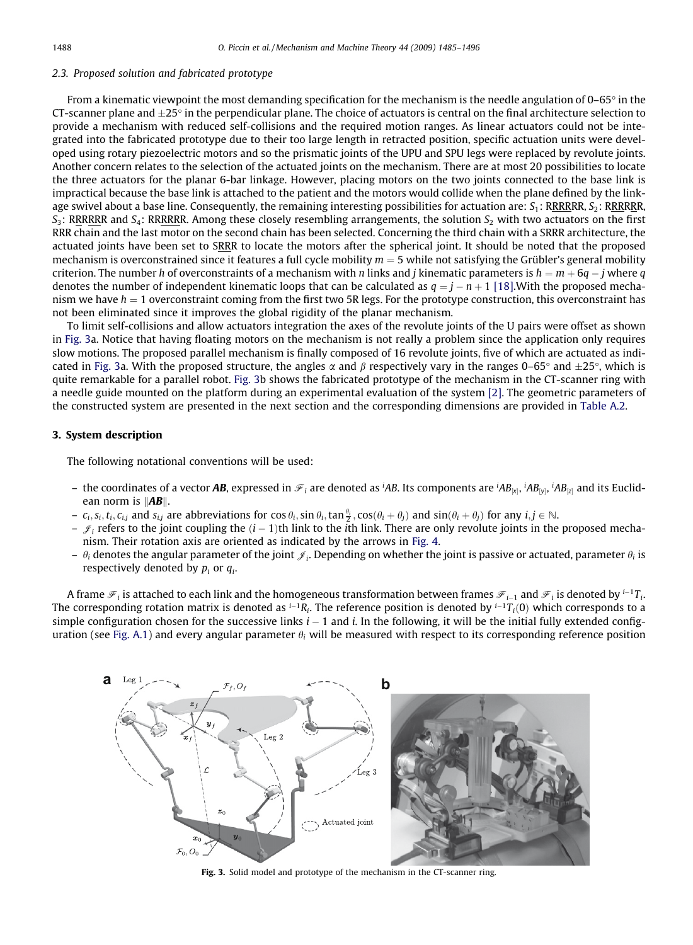## 2.3. Proposed solution and fabricated prototype

From a kinematic viewpoint the most demanding specification for the mechanism is the needle angulation of  $0-65^\circ$  in the CT-scanner plane and  $\pm 25^\circ$  in the perpendicular plane. The choice of actuators is central on the final architecture selection to provide a mechanism with reduced self-collisions and the required motion ranges. As linear actuators could not be integrated into the fabricated prototype due to their too large length in retracted position, specific actuation units were developed using rotary piezoelectric motors and so the prismatic joints of the UPU and SPU legs were replaced by revolute joints. Another concern relates to the selection of the actuated joints on the mechanism. There are at most 20 possibilities to locate the three actuators for the planar 6-bar linkage. However, placing motors on the two joints connected to the base link is impractical because the base link is attached to the patient and the motors would collide when the plane defined by the linkage swivel about a base line. Consequently, the remaining interesting possibilities for actuation are:  $S_1$ : RRRRRR,  $S_2$ : RRRRRR,  $S_3$ : RRRRRR and  $S_4$ : RRRRRR. Among these closely resembling arrangements, the solution  $S_2$  with two actuators on the first RRR chain and the last motor on the second chain has been selected. Concerning the third chain with a SRRR architecture, the actuated joints have been set to SRRR to locate the motors after the spherical joint. It should be noted that the proposed mechanism is overconstrained since it features a full cycle mobility  $m = 5$  while not satisfying the Grübler's general mobility criterion. The number h of overconstraints of a mechanism with n links and j kinematic parameters is  $h = m + 6q - j$  where q denotes the number of independent kinematic loops that can be calculated as  $q = j - n + 1$  [\[18\].](#page-11-0) With the proposed mechanism we have  $h = 1$  overconstraint coming from the first two 5R legs. For the prototype construction, this overconstraint has not been eliminated since it improves the global rigidity of the planar mechanism.

To limit self-collisions and allow actuators integration the axes of the revolute joints of the U pairs were offset as shown in Fig. 3a. Notice that having floating motors on the mechanism is not really a problem since the application only requires slow motions. The proposed parallel mechanism is finally composed of 16 revolute joints, five of which are actuated as indicated in Fig. 3a. With the proposed structure, the angles  $\alpha$  and  $\beta$  respectively vary in the ranges 0–65° and  $\pm$ 25°, which is quite remarkable for a parallel robot. Fig. 3b shows the fabricated prototype of the mechanism in the CT-scanner ring with a needle guide mounted on the platform during an experimental evaluation of the system [\[2\]](#page-11-0). The geometric parameters of the constructed system are presented in the next section and the corresponding dimensions are provided in [Table A.2](#page-10-0).

## 3. System description

The following notational conventions will be used:

- the coordinates of a vector **AB**, expressed in  $\mathscr{F}_i$  are denoted as <sup>i</sup>AB. Its components are <sup>i</sup>AB<sub>|×|</sub>, <sup>i</sup>AB<sub>|×|</sub>, <sup>i</sup>AB<sub>|×|</sub>, <sup>i</sup>AB<sub>|×|</sub>, <sup>i</sup>AB<sub>|×|</sub>, <sup>i</sup>AB<sub>|×|</sub>, <sup>i</sup>AB<sub>|×|</sub> ean norm is  $\|AB\|$ .
- $-c_i, s_i, t_i, c_{i,j}$  and  $s_{i,j}$  are abbreviations for  $\cos\theta_i$ ,  $\sin\theta_i$ ,  $\tan\frac{\theta_i}{2}$ ,  $\cos(\theta_i + \theta_j)$  and  $\sin(\theta_i + \theta_j)$  for any  $i, j \in \mathbb{N}$ .
- $\sim \mathcal{J}_i$  refers to the joint coupling the  $(i-1)$ th link to the *i*th link. There are only revolute joints in the proposed mechanism. Their rotation axis are oriented as indicated by the arrows in [Fig. 4](#page-4-0).
- $\theta_i$  denotes the angular parameter of the joint  $\mathcal{J}_i$ . Depending on whether the joint is passive or actuated, parameter  $\theta_i$  is respectively denoted by  $p_i$  or  $q_i$ .

A frame  $\mathcal{F}_i$  is attached to each link and the homogeneous transformation between frames  $\mathcal{F}_{i-1}$  and  $\mathcal{F}_i$  is denoted by  $^{i-1}T_i$ . The corresponding rotation matrix is denoted as  $^{i-1}R_i$ . The reference position is denoted by  $^{i-1}T_i(0)$  which corresponds to a simple configuration chosen for the successive links  $i - 1$  and i. In the following, it will be the initial fully extended config-uration (see [Fig. A.1\)](#page-10-0) and every angular parameter  $\theta_i$  will be measured with respect to its corresponding reference position



Fig. 3. Solid model and prototype of the mechanism in the CT-scanner ring.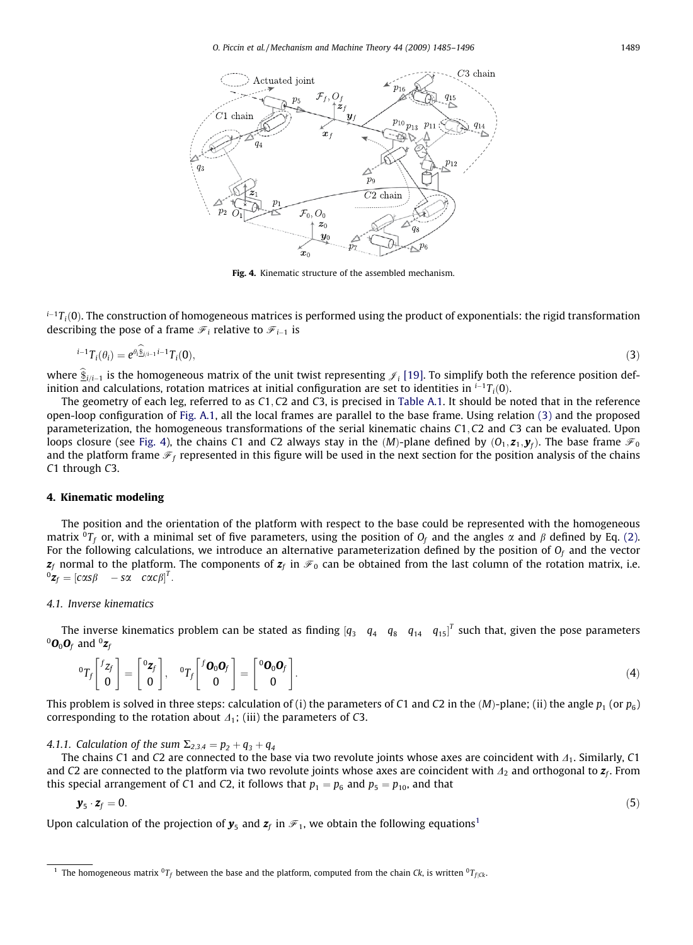O. Piccin et al. / Mechanism and Machine Theory 44 (2009) 1485–1496 1489

<span id="page-4-0"></span>

Fig. 4. Kinematic structure of the assembled mechanism.

 $i-1T_i(0)$ . The construction of homogeneous matrices is performed using the product of exponentials: the rigid transformation describing the pose of a frame  $\mathcal{F}_i$  relative to  $\mathcal{F}_{i-1}$  is

$$
{}^{i-1}T_i(\theta_i) = e^{\theta_i \hat{\mathbf{S}}_{j/i-1}i-1}T_i(\mathbf{0}),\tag{3}
$$

where  $\hat{\mathbf{s}}_{i,i-1}$  is the homogeneous matrix of the unit twist representing  $\mathcal{J}_i$  [\[19\].](#page-11-0) To simplify both the reference position definition and calculations, rotation matrices at initial configuration are set to identities in  $^{i-1}T_i(0)$ .

The geometry of each leg, referred to as C1; C2 and C3, is precised in [Table A.1](#page-10-0). It should be noted that in the reference open-loop configuration of [Fig. A.1](#page-10-0), all the local frames are parallel to the base frame. Using relation (3) and the proposed parameterization, the homogeneous transformations of the serial kinematic chains C1; C2 and C3 can be evaluated. Upon loops closure (see Fig. 4), the chains C1 and C2 always stay in the  $(M)$ -plane defined by  $(0_1, z_1, y_f)$ . The base frame  $\mathcal{F}_0$ and the platform frame  $\mathcal{F}_f$  represented in this figure will be used in the next section for the position analysis of the chains C1 through C3.

#### 4. Kinematic modeling

The position and the orientation of the platform with respect to the base could be represented with the homogeneous matrix  ${}^{0}T_{f}$  or, with a minimal set of five parameters, using the position of  $O_{f}$  and the angles  $\alpha$  and  $\beta$  defined by Eq. [\(2\)](#page-2-0). For the following calculations, we introduce an alternative parameterization defined by the position of  $O_f$  and the vector  $z_f$  normal to the platform. The components of  $z_f$  in  $\mathcal{F}_0$  can be obtained from the last column of the rotation matrix, i.e.  ${}^0\mathbf{z}_f = \begin{bmatrix} c\alpha s\beta & -s\alpha & c\alpha c\beta \end{bmatrix}^T.$ 

#### 4.1. Inverse kinematics

The inverse kinematics problem can be stated as finding  $[q_3 \quad q_4 \quad q_8 \quad q_{14} \quad q_{15}]^T$  such that, given the pose parameters  ${}^0O_0$ O<sub>f</sub> and  ${}^0Z_f$ 

$$
{}^{0}T_{f}\begin{bmatrix} f_{Z_{f}} \\ 0 \end{bmatrix} = \begin{bmatrix} {}^{0}\mathbf{z}_{f} \\ 0 \end{bmatrix}, \quad {}^{0}T_{f}\begin{bmatrix} {}^{f}\mathbf{0}_{0}\mathbf{0}_{f} \\ 0 \end{bmatrix} = \begin{bmatrix} {}^{0}\mathbf{0}_{0}\mathbf{0}_{f} \\ 0 \end{bmatrix}.
$$
 (4)

This problem is solved in three steps: calculation of (i) the parameters of C1 and C2 in the  $(M)$ -plane; (ii) the angle  $p_1$  (or  $p_6$ ) corresponding to the rotation about  $\Delta_1$ ; (iii) the parameters of C3.

4.1.1. Calculation of the sum  $\Sigma_{2,3,4} = p_2 + q_3 + q_4$ 

The chains C1 and C2 are connected to the base via two revolute joints whose axes are coincident with  $\Delta_1$ . Similarly, C1 and C2 are connected to the platform via two revolute joints whose axes are coincident with  $\Lambda_2$  and orthogonal to  $z_f$ . From this special arrangement of C1 and C2, it follows that  $p_1 = p_6$  and  $p_5 = p_{10}$ , and that

$$
\mathbf{y}_{5} \cdot \mathbf{z}_{f} = 0. \tag{5}
$$

Upon calculation of the projection of  $y_5$  and  $z_f$  in  $\mathcal{F}_1$ , we obtain the following equations<sup>1</sup>

$$
^{(5)}
$$

<sup>&</sup>lt;sup>1</sup> The homogeneous matrix <sup>0</sup>T<sub>f</sub> between the base and the platform, computed from the chain Ck, is written <sup>0</sup>T<sub>fGk</sub>.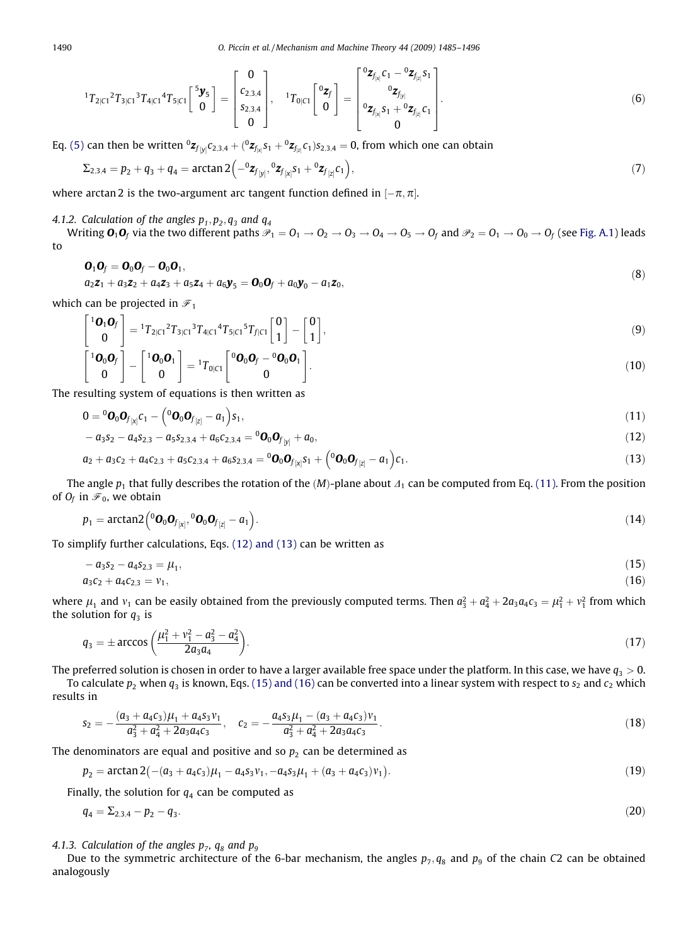$$
{}^{1}T_{2|C1} {}^{2}T_{3|C1} {}^{3}T_{4|C1} {}^{4}T_{5|C1} \begin{bmatrix} {}^{5}y_{5} \\ 0 \end{bmatrix} = \begin{bmatrix} 0 \\ c_{2,3,4} \\ s_{2,3,4} \\ 0 \end{bmatrix}, \quad {}^{1}T_{0|C1} \begin{bmatrix} {}^{0}z_{f} \\ 0 \end{bmatrix} = \begin{bmatrix} {}^{0}z_{f_{[x]}} c_{1} - {}^{0}z_{f_{[x]}} s_{1} \\ {}^{0}z_{f_{[y]}} \\ {}^{0}z_{f_{[x]}} s_{1} + {}^{0}z_{f_{[z]}} c_{1} \\ 0 \end{bmatrix}.
$$
 (6)

22

Eq. [\(5\)](#page-4-0) can then be written  ${}^0\mathsf{z}_{f_{[y]}}c_{2,3,4}+({}^0\mathsf{z}_{f_{[x]}}s_1+{}^0\mathsf{z}_{f_{[z]}}c_1)s_{2,3,4}=0,$  from which one can obtain

$$
\Sigma_{2,3,4} = p_2 + q_3 + q_4 = \arctan 2(-{}^{0}z_{f_{[y]}}, {}^{0}z_{f_{[x]}S_1} + {}^{0}z_{f_{[z]}C_1}),
$$
\n(7)

where arctan 2 is the two-argument arc tangent function defined in  $[-\pi,\pi]$ .

4.1.2. Calculation of the angles  $p_1, p_2, q_3$  and  $q_4$ 

Writing  $\mathbf{0}_1\mathbf{0}_f$  via the two different paths  $\mathcal{P}_1 = 0_1 \to 0_2 \to 0_3 \to 0_4 \to 0_5 \to 0_f$  and  $\mathcal{P}_2 = 0_1 \to 0_0 \to 0_f$  (see [Fig. A.1\)](#page-10-0) leads to

$$
\begin{aligned} \mathbf{O}_1 \mathbf{O}_f &= \mathbf{O}_0 \mathbf{O}_f - \mathbf{O}_0 \mathbf{O}_1, \\ a_2 \mathbf{z}_1 + a_3 \mathbf{z}_2 + a_4 \mathbf{z}_3 + a_5 \mathbf{z}_4 + a_6 \mathbf{y}_5 &= \mathbf{O}_0 \mathbf{O}_f + a_0 \mathbf{y}_0 - a_1 \mathbf{z}_0, \end{aligned} \tag{8}
$$

which can be projected in  $\mathcal{F}_1$ 

$$
\begin{bmatrix} \mathbf{10}_{1}\mathbf{0}_{f} \\ \mathbf{0} \end{bmatrix} = \mathbf{1}T_{2|C1}^{2}T_{3|C1}^{3}T_{4|C1}^{4}T_{5|C1}^{5}T_{f|C1} \begin{bmatrix} 0 \\ 1 \end{bmatrix} - \begin{bmatrix} 0 \\ 1 \end{bmatrix},
$$
\n
$$
\begin{bmatrix} 10 & 0 & 1 \end{bmatrix} \begin{bmatrix} 10 & 0 & 1 \end{bmatrix} \begin{bmatrix} 0 & 0 & 0 \end{bmatrix} = \begin{bmatrix} 0 & 0 & 0 \end{bmatrix} \begin{bmatrix} 0 & 0 & 0 \end{bmatrix} = \begin{bmatrix} 0 & 0 & 0 \end{bmatrix} = \begin{bmatrix} 0 & 0 & 0 \end{bmatrix} = \begin{bmatrix} 0 & 0 & 0 \end{bmatrix} = \begin{bmatrix} 0 & 0 & 0 \end{bmatrix} = \begin{bmatrix} 0 & 0 & 0 \end{bmatrix} = \begin{bmatrix} 0 & 0 & 0 \end{bmatrix} = \begin{bmatrix} 0 & 0 & 0 \end{bmatrix} = \begin{bmatrix} 0 & 0 & 0 \end{bmatrix} = \begin{bmatrix} 0 & 0 & 0 \end{bmatrix} = \begin{bmatrix} 0 & 0 & 0 \end{bmatrix} = \begin{bmatrix} 0 & 0 & 0 \end{bmatrix} = \begin{bmatrix} 0 & 0 & 0 \end{bmatrix} = \begin{bmatrix} 0 & 0 & 0 \end{bmatrix} = \begin{bmatrix} 0 & 0 & 0 \end{bmatrix} = \begin{bmatrix} 0 & 0 & 0 \end{bmatrix} = \begin{bmatrix} 0 & 0 & 0 \end{bmatrix} = \begin{bmatrix} 0 & 0 & 0 \end{bmatrix} = \begin{bmatrix} 0 & 0 & 0 \end{bmatrix} = \begin{bmatrix} 0 & 0 & 0 \end{bmatrix} = \begin{bmatrix} 0 & 0 & 0 \end{bmatrix} = \begin{bmatrix} 0 & 0 & 0 \end{bmatrix} = \begin{bmatrix} 0 & 0 & 0 \end{bmatrix} = \begin{bmatrix} 0 & 0 & 0 \end{bmatrix} = \begin{bmatrix} 0 & 0 & 0 \end{bmatrix} = \begin{bmatrix} 0 & 0 & 0 \end{bmatrix
$$

$$
\begin{bmatrix} \mathbf{1}\boldsymbol{0}_0\boldsymbol{0}_f \\ \mathbf{0} \end{bmatrix} - \begin{bmatrix} \mathbf{1}\boldsymbol{0}_0\boldsymbol{0}_1 \\ \mathbf{0} \end{bmatrix} = \mathbf{1}T_{0|C1} \begin{bmatrix} \mathbf{0}\boldsymbol{0}_0\boldsymbol{0}_f - \mathbf{0}\boldsymbol{0}_0\boldsymbol{0}_1 \\ \mathbf{0} \end{bmatrix}.
$$
 (10)

The resulting system of equations is then written as

$$
\mathbf{0} = {}^{0}\mathbf{O}_{0}\mathbf{O}_{f_{\left[X\right]}C_1} - \left({}^{0}\mathbf{O}_{0}\mathbf{O}_{f_{\left[Z\right]}} - a_1\right)s_1,\tag{11}
$$

$$
-a_3s_2-a_4s_{2,3}-a_5s_{2,3,4}+a_6c_{2,3,4}=0\mathbf{0}_0\mathbf{0}_{f_{[y]}}+a_0,
$$
\n(12)

$$
a_2 + a_3c_2 + a_4c_{2,3} + a_5c_{2,3,4} + a_6s_{2,3,4} = {}^0\mathbf{O}_0\mathbf{O}_{f_{[x]}S_1} + \left({}^0\mathbf{O}_0\mathbf{O}_{f_{[z]}} - a_1\right)c_1.
$$
\n(13)

The angle  $p_1$  that fully describes the rotation of the  $(M)$ -plane about  $\Lambda_1$  can be computed from Eq. (11). From the position of  $O_f$  in  $\mathcal{F}_0$ , we obtain

$$
p_1 = \arctan 2\left({}^0\mathbf{O}_0\mathbf{O}_{f_{[x]}}, {}^0\mathbf{O}_0\mathbf{O}_{f_{[z]}} - a_1\right).
$$
 (14)

To simplify further calculations, Eqs. (12) and (13) can be written as

$$
-a_3s_2 - a_4s_{2,3} = \mu_1, \tag{15}
$$
  

$$
a_3c_2 + a_4c_{2,3} = \nu_1, \tag{16}
$$

where  $\mu_1$  and  $v_1$  can be easily obtained from the previously computed terms. Then  $a_3^2+a_4^2+2a_3a_4c_3=\mu_1^2+v_1^2$  from which the solution for  $q_3$  is

$$
q_3 = \pm \arccos\left(\frac{\mu_1^2 + \nu_1^2 - a_3^2 - a_4^2}{2a_3a_4}\right). \tag{17}
$$

The preferred solution is chosen in order to have a larger available free space under the platform. In this case, we have  $q_3 > 0$ .

To calculate  $p_2$  when  $q_3$  is known, Eqs. (15) and (16) can be converted into a linear system with respect to  $s_2$  and  $c_2$  which results in

$$
s_2 = -\frac{(a_3 + a_4c_3)\mu_1 + a_4s_3\nu_1}{a_3^2 + a_4^2 + 2a_3a_4c_3}, \quad c_2 = -\frac{a_4s_3\mu_1 - (a_3 + a_4c_3)\nu_1}{a_3^2 + a_4^2 + 2a_3a_4c_3}.
$$
\n(18)

The denominators are equal and positive and so  $p_2$  can be determined as

$$
p_2 = \arctan 2(-(a_3 + a_4c_3)\mu_1 - a_4s_3\nu_1, -a_4s_3\mu_1 + (a_3 + a_4c_3)\nu_1).
$$
\n(19)

Finally, the solution for  $q_4$  can be computed as

$$
q_4 = \Sigma_{2,3,4} - p_2 - q_3. \tag{20}
$$

4.1.3. Calculation of the angles  $p_7$ ,  $q_8$  and  $p_9$ 

Due to the symmetric architecture of the 6-bar mechanism, the angles  $p_7, q_8$  and  $p_9$  of the chain C2 can be obtained analogously

<span id="page-5-0"></span>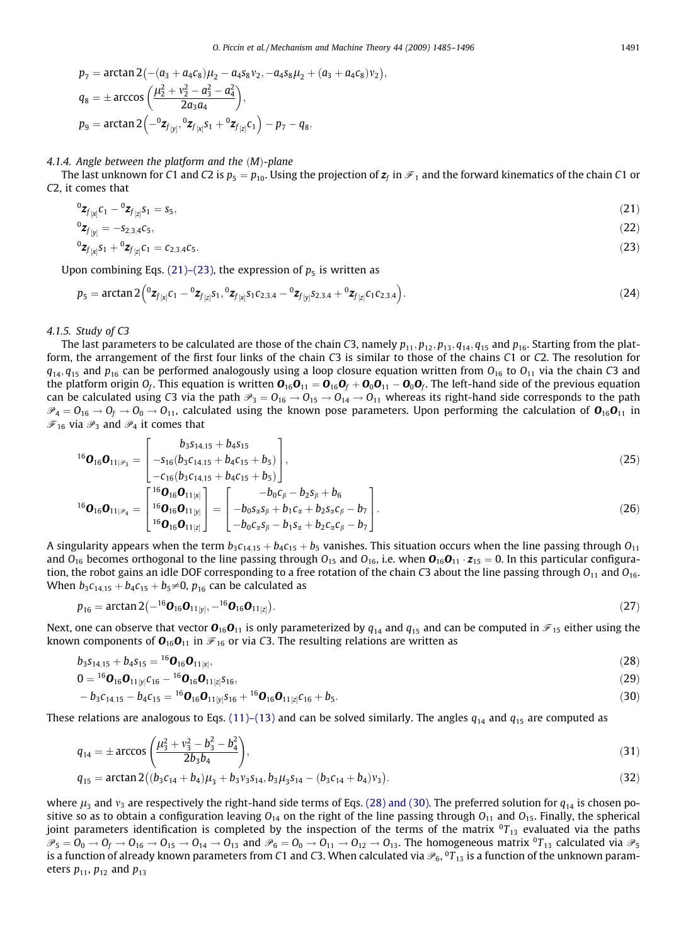$$
p_7 = \arctan 2(-(a_3 + a_4c_8)\mu_2 - a_4s_8\nu_2, -a_4s_8\mu_2 + (a_3 + a_4c_8)\nu_2),
$$
  
\n
$$
q_8 = \pm \arccos \left(\frac{\mu_2^2 + \nu_2^2 - a_3^2 - a_4^2}{2a_3a_4}\right),
$$
  
\n
$$
p_9 = \arctan 2(-\frac{a_3}{\mu_1})^0 z_{f_{[x]}} s_1 + \frac{a_3}{\mu_2} c_1 - p_7 - q_8.
$$

#### 4.1.4. Angle between the platform and the  $(M)$ -plane

The last unknown for C1 and C2 is  $p_5 = p_{10}$ . Using the projection of  $z_f$  in  $\mathcal{F}_1$  and the forward kinematics of the chain C1 or C2, it comes that

$$
{}^{0}Z_{f_{[x]}}C_{1} - {}^{0}Z_{f_{[z]}}S_{1} = S_{5},
$$
\n
$$
{}^{0}Z_{f_{[y]}} = -S_{2,3,4}C_{5},
$$
\n
$$
(21)
$$
\n
$$
{}^{0}Z_{f_{[y]}} = -S_{2,3,4}C_{5},
$$
\n
$$
(22)
$$

$$
{}^{0}\mathbf{z}_{f_{[x]}}s_1 + {}^{0}\mathbf{z}_{f_{[z]}}c_1 = c_{2,3,4}c_5. \tag{23}
$$

Upon combining Eqs. (21)–(23), the expression of  $p_5$  is written as

$$
p_5 = \arctan 2\left({}^{0}z_{f_{[x]}c_1} - {}^{0}z_{f_{[z]}s_1}, {}^{0}z_{f_{[x]}s_1c_{2,3,4}} - {}^{0}z_{f_{[y]}s_{2,3,4}} + {}^{0}z_{f_{[z]}c_1c_{2,3,4}}\right).
$$
\n(24)

#### 4.1.5. Study of C3

The last parameters to be calculated are those of the chain C3, namely  $p_{11}, p_{12}, p_{13}, q_{14}, q_{15}$  and  $p_{16}$ . Starting from the platform, the arrangement of the first four links of the chain C3 is similar to those of the chains C1 or C2. The resolution for  $q_{14}$ ,  $q_{15}$  and  $p_{16}$  can be performed analogously using a loop closure equation written from  $O_{16}$  to  $O_{11}$  via the chain C3 and the platform origin  $O_f$ . This equation is written  $O_{16}O_{11} = O_{16}O_f + O_0O_{11} - O_0O_f$ . The left-hand side of the previous equation can be calculated using C3 via the path  $\mathcal{P}_3 = O_{16} \rightarrow O_{15} \rightarrow O_{14} \rightarrow O_{11}$  whereas its right-hand side corresponds to the path  $\mathcal{P}_4 = O_{16} \to O_f \to O_0 \to O_{11}$ , calculated using the known pose parameters. Upon performing the calculation of  $O_{16}O_{11}$  in  $\mathcal{F}_{16}$  via  $\mathcal{P}_3$  and  $\mathcal{P}_4$  it comes that

$$
{}^{16}\mathbf{O}_{16}\mathbf{O}_{11|\mathscr{P}_3} = \begin{bmatrix} b_{3} s_{14,15} + b_{4} s_{15} \\ -s_{16} (b_{3} c_{14,15} + b_{4} c_{15} + b_{5}) \\ -c_{16} (b_{3} c_{14,15} + b_{4} c_{15} + b_{5}) \end{bmatrix},
$$
\n
$$
{}^{16}\mathbf{O}_{16}\mathbf{O}_{11|\mathscr{P}_3} = \begin{bmatrix} {}^{16}\mathbf{O}_{16} \mathbf{O}_{11[\mathscr{X}]} \\ {}^{16}\mathbf{O}_{16} \mathbf{O}_{11[\mathscr{Y}]} \end{bmatrix} = \begin{bmatrix} -b_{0} c_{\beta} - b_{2} s_{\beta} + b_{6} \\ -b_{0} s_{2} s_{\beta} + b_{1} c_{2} + b_{2} s_{2} c_{\beta} - b_{7} \end{bmatrix}.
$$
\n(26)

$$
{}^{16}\mathbf{O}_{16}\mathbf{O}_{11|\mathscr{P}_4} = \begin{bmatrix} {}^{16}\mathbf{O}_{16}\mathbf{O}_{11[y]} \\ {}^{16}\mathbf{O}_{16}\mathbf{O}_{11[z]} \end{bmatrix} = \begin{bmatrix} -b_0s_x s_{\beta} + b_1c_x + b_2s_x c_{\beta} - b_7 \\ -b_0c_x s_{\beta} - b_1s_x + b_2c_x c_{\beta} - b_7 \end{bmatrix}.
$$
(26)

A singularity appears when the term  $b_3c_{14,15} + b_4c_{15} + b_5$  vanishes. This situation occurs when the line passing through  $O_{11}$ and  $O_{16}$  becomes orthogonal to the line passing through  $O_{15}$  and  $O_{16}$ , i.e. when  $O_{16}O_{11} \cdot z_{15} = 0$ . In this particular configuration, the robot gains an idle DOF corresponding to a free rotation of the chain C3 about the line passing through  $O_{11}$  and  $O_{16}$ . When  $b_3c_{14,15} + b_4c_{15} + b_5 \neq 0$ ,  $p_{16}$  can be calculated as

$$
p_{16} = \arctan 2(-^{16}\mathbf{O}_{16}\mathbf{O}_{11[y]}, -^{16}\mathbf{O}_{16}\mathbf{O}_{11[z]}).
$$
 (27)

Next, one can observe that vector  $\mathbf{O}_{16}\mathbf{O}_{11}$  is only parameterized by  $q_{14}$  and  $q_{15}$  and can be computed in  $\mathcal{F}_{15}$  either using the known components of  $\mathbf{O}_{16}\mathbf{O}_{11}$  in  $\mathcal{F}_{16}$  or via C3. The resulting relations are written as

$$
b_3s_{14,15} + b_4s_{15} = {}^{16}\mathbf{O}_{16}\mathbf{O}_{11[x]},
$$
\n(28)

$$
0 = {}^{16}O_{16}O_{11[y]}c_{16} - {}^{16}O_{16}O_{11[z]}s_{16}, \tag{29}
$$

$$
-b_3c_{14,15}-b_4c_{15}=^{16}\textbf{O}_{16}\textbf{O}_{11[y]}s_{16}+^{16}\textbf{O}_{16}\textbf{O}_{11[z]}c_{16}+b_5.
$$
\n(30)

These relations are analogous to Eqs. [\(11\)–\(13\)](#page-5-0) and can be solved similarly. The angles  $q_{14}$  and  $q_{15}$  are computed as

$$
q_{14} = \pm \arccos\left(\frac{\mu_3^2 + \nu_3^2 - b_3^2 - b_4^2}{2b_3b_4}\right),\tag{31}
$$

$$
q_{15} = \arctan 2((b_3c_{14} + b_4)\mu_3 + b_3v_3s_{14}, b_3\mu_3s_{14} - (b_3c_{14} + b_4)v_3).
$$
\n(32)

where  $\mu_3$  and  $\nu_3$  are respectively the right-hand side terms of Eqs. (28) and (30). The preferred solution for  $q_{14}$  is chosen positive so as to obtain a configuration leaving  $O_{14}$  on the right of the line passing through  $O_{11}$  and  $O_{15}$ . Finally, the spherical joint parameters identification is completed by the inspection of the terms of the matrix  ${}^{0}T_{13}$  evaluated via the paths  $\mathcal{P}_5 = \mathcal{O}_0 \rightarrow \mathcal{O}_f \rightarrow \mathcal{O}_{16} \rightarrow \mathcal{O}_{15} \rightarrow \mathcal{O}_{14} \rightarrow \mathcal{O}_{13}$  and  $\mathcal{P}_6 = \mathcal{O}_0 \rightarrow \mathcal{O}_{11} \rightarrow \mathcal{O}_{12} \rightarrow \mathcal{O}_{13}$ . The homogeneous matrix  ${}^0T_{13}$  calculated via  $\mathcal{P}_5$ is a function of already known parameters from C1 and C3. When calculated via  $\mathcal{P}_6$ ,  $^0T_{13}$  is a function of the unknown parameters  $p_{11}$ ,  $p_{12}$  and  $p_{13}$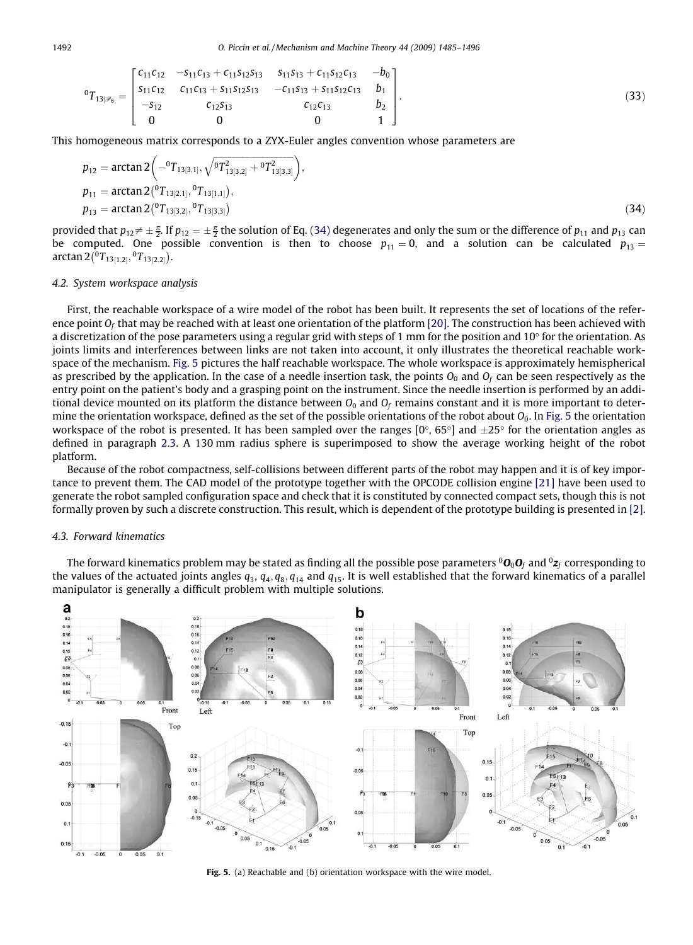$$
{}^{0}T_{13|\mathscr{P}_6} = \begin{bmatrix} c_{11}c_{12} & -s_{11}c_{13} + c_{11}s_{12}s_{13} & s_{11}s_{13} + c_{11}s_{12}c_{13} & -b_0 \ s_{11}c_{12} & c_{11}c_{13} + s_{11}s_{12}s_{13} & -c_{11}s_{13} + s_{11}s_{12}c_{13} & b_1 \ -s_{12} & c_{12}s_{13} & c_{12}c_{13} & b_2 \ 0 & 0 & 0 & 1 \end{bmatrix} . \tag{33}
$$

This homogeneous matrix corresponds to a ZYX-Euler angles convention whose parameters are

$$
p_{12} = \arctan 2\left(-{}^{0}T_{13[3,1]}, \sqrt{{}^{0}T_{13[3,2]}^{2} + {}^{0}T_{13[3,3]}^{2}}\right),
$$
  
\n
$$
p_{11} = \arctan 2\left({}^{0}T_{13[2,1]}, {}^{0}T_{13[1,1]}\right),
$$
  
\n
$$
p_{13} = \arctan 2\left({}^{0}T_{13[3,2]}, {}^{0}T_{13[3,3]}\right)
$$
\n(34)

provided that  $p_{12}\neq\pm\frac{\pi}{2}$ . If  $p_{12}=\pm\frac{\pi}{2}$  the solution of Eq. (34) degenerates and only the sum or the difference of  $p_{11}$  and  $p_{13}$  can be computed. One possible convention is then to choose  $p_{11} = 0$ , and a solution can be calculated  $p_{13} =$  $\arctan 2(^{0}T_{13[1,2]}, ^{0}T_{13[2,2]}).$ 

#### 4.2. System workspace analysis

First, the reachable workspace of a wire model of the robot has been built. It represents the set of locations of the reference point  $O_f$  that may be reached with at least one orientation of the platform [\[20\]](#page-11-0). The construction has been achieved with a discretization of the pose parameters using a regular grid with steps of 1 mm for the position and  $10^\circ$  for the orientation. As joints limits and interferences between links are not taken into account, it only illustrates the theoretical reachable workspace of the mechanism. Fig. 5 pictures the half reachable workspace. The whole workspace is approximately hemispherical as prescribed by the application. In the case of a needle insertion task, the points  $O_0$  and  $O_f$  can be seen respectively as the entry point on the patient's body and a grasping point on the instrument. Since the needle insertion is performed by an additional device mounted on its platform the distance between  $O_0$  and  $O_f$  remains constant and it is more important to determine the orientation workspace, defined as the set of the possible orientations of the robot about  $O_0$ . In Fig. 5 the orientation workspace of the robot is presented. It has been sampled over the ranges [0°, 65°] and  $\pm 25^\circ$  for the orientation angles as defined in paragraph 2.3. A 130 mm radius sphere is superimposed to show the average working height of the robot platform.

Because of the robot compactness, self-collisions between different parts of the robot may happen and it is of key importance to prevent them. The CAD model of the prototype together with the OPCODE collision engine [\[21\]](#page-11-0) have been used to generate the robot sampled configuration space and check that it is constituted by connected compact sets, though this is not formally proven by such a discrete construction. This result, which is dependent of the prototype building is presented in [\[2\]](#page-11-0).

## 4.3. Forward kinematics

The forward kinematics problem may be stated as finding all the possible pose parameters  $^0$ O<sub>0</sub>O<sub>f</sub> and  $^0$ <sub>Zf</sub> corresponding to the values of the actuated joints angles  $q_3$ ,  $q_4$ ,  $q_8$ ,  $q_{14}$  and  $q_{15}$ . It is well established that the forward kinematics of a parallel manipulator is generally a difficult problem with multiple solutions.



Fig. 5. (a) Reachable and (b) orientation workspace with the wire model.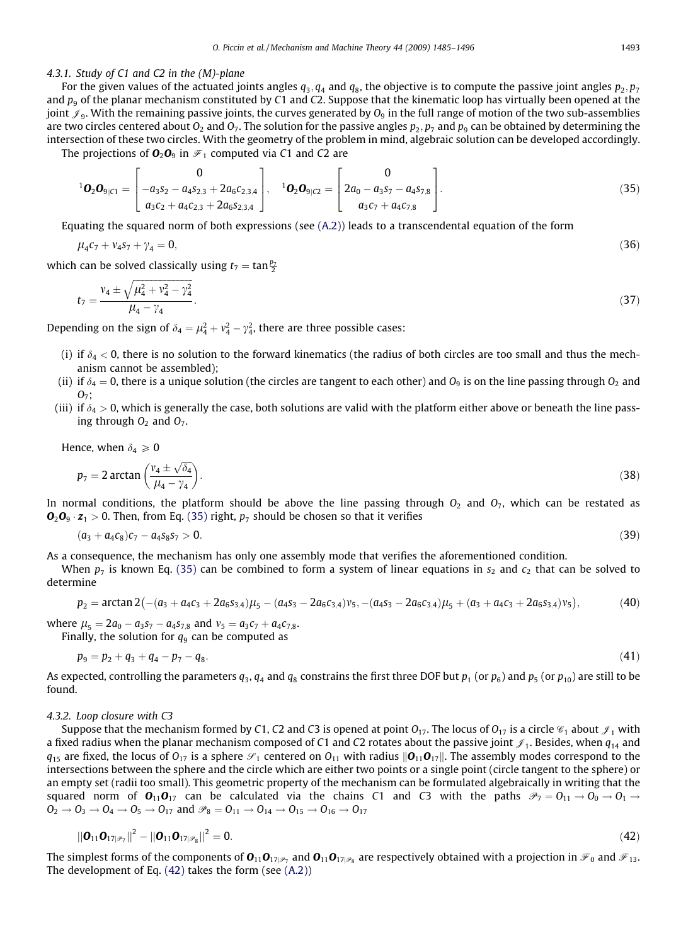## <span id="page-8-0"></span>4.3.1. Study of C1 and C2 in the (M)-plane

For the given values of the actuated joints angles  $q_3$ ,  $q_4$  and  $q_8$ , the objective is to compute the passive joint angles  $p_2$ ,  $p_7$ and  $p<sub>9</sub>$  of the planar mechanism constituted by C1 and C2. Suppose that the kinematic loop has virtually been opened at the joint  $\mathcal{J}_9$ . With the remaining passive joints, the curves generated by  $O_9$  in the full range of motion of the two sub-assemblies are two circles centered about  $O_2$  and  $O_7$ . The solution for the passive angles  $p_2$ ,  $p_7$  and  $p_9$  can be obtained by determining the intersection of these two circles. With the geometry of the problem in mind, algebraic solution can be developed accordingly. The projections of  $\mathbf{O}_2\mathbf{O}_9$  in  $\mathcal{F}_1$  computed via C1 and C2 are

$$
{}^{1}\mathbf{O}_{2}\mathbf{O}_{9|C1} = \begin{bmatrix} 0 \\ -a_{3}s_{2} - a_{4}s_{2,3} + 2a_{6}c_{2,3,4} \\ a_{3}c_{2} + a_{4}c_{2,3} + 2a_{6}s_{2,3,4} \end{bmatrix}, \quad {}^{1}\mathbf{O}_{2}\mathbf{O}_{9|C2} = \begin{bmatrix} 0 \\ 2a_{0} - a_{3}s_{7} - a_{4}s_{7,8} \\ a_{3}c_{7} + a_{4}c_{7,8} \end{bmatrix}.
$$
 (35)

Equating the squared norm of both expressions (see  $(A.2)$ ) leads to a transcendental equation of the form

$$
\mu_4 c_7 + v_4 s_7 + \gamma_4 = 0,\tag{36}
$$

which can be solved classically using  $t_7 = \tan \frac{p_7}{2}$ 

$$
t_7 = \frac{v_4 \pm \sqrt{\mu_4^2 + v_4^2 - \gamma_4^2}}{\mu_4 - \gamma_4}.
$$
\n(37)

Depending on the sign of  $\delta_4 = \mu_4^2 + \nu_4^2 - \gamma_4^2$ , there are three possible cases:

- (i) if  $\delta_4$  < 0, there is no solution to the forward kinematics (the radius of both circles are too small and thus the mechanism cannot be assembled);
- (ii) if  $\delta_4 = 0$ , there is a unique solution (the circles are tangent to each other) and  $O_9$  is on the line passing through  $O_2$  and  $O_7$ :
- (iii) if  $\delta_4 > 0$ , which is generally the case, both solutions are valid with the platform either above or beneath the line passing through  $O_2$  and  $O_7$ .

Hence, when  $\delta_4 \geq 0$ 

$$
p_7 = 2\arctan\left(\frac{v_4 \pm \sqrt{\delta_4}}{\mu_4 - \gamma_4}\right).
$$
\n(38)

In normal conditions, the platform should be above the line passing through  $O_2$  and  $O_7$ , which can be restated as  $\mathbf{O}_2\mathbf{O}_9 \cdot \mathbf{z}_1 > 0$ . Then, from Eq. (35) right,  $p_7$  should be chosen so that it verifies

$$
(a_3 + a_4c_8)c_7 - a_4s_8s_7 > 0. \tag{39}
$$

As a consequence, the mechanism has only one assembly mode that verifies the aforementioned condition.

When  $p_7$  is known Eq. (35) can be combined to form a system of linear equations in  $s_2$  and  $c_2$  that can be solved to determine

$$
p_2 = \arctan 2 \big( -(a_3 + a_4 c_3 + 2 a_6 s_{3,4} ) \mu_5 - (a_4 s_3 - 2 a_6 c_{3,4} ) v_5, -(a_4 s_3 - 2 a_6 c_{3,4} ) \mu_5 + (a_3 + a_4 c_3 + 2 a_6 s_{3,4} ) v_5 \big), \tag{40}
$$

where  $\mu_5 = 2a_0 - a_3s_7 - a_4s_{7,8}$  and  $v_5 = a_3c_7 + a_4c_{7,8}$ . Finally, the solution for  $q_9$  can be computed as

$$
p_9 = p_2 + q_3 + q_4 - p_7 - q_8. \tag{41}
$$

As expected, controlling the parameters  $q_3$ ,  $q_4$  and  $q_8$  constrains the first three DOF but  $p_1$  (or  $p_6$ ) and  $p_5$  (or  $p_{10}$ ) are still to be found.

#### 4.3.2. Loop closure with C3

Suppose that the mechanism formed by C1, C2 and C3 is opened at point  $O_{17}$ . The locus of  $O_{17}$  is a circle  $\mathscr{C}_1$  about  $\mathscr{J}_1$  with a fixed radius when the planar mechanism composed of C1 and C2 rotates about the passive joint  $\mathcal{J}_1$ . Besides, when  $q_{14}$  and  $q_{15}$  are fixed, the locus of  $O_{17}$  is a sphere  $\mathscr{S}_1$  centered on  $O_{11}$  with radius  $||O_{11}O_{17}||$ . The assembly modes correspond to the intersections between the sphere and the circle which are either two points or a single point (circle tangent to the sphere) or an empty set (radii too small). This geometric property of the mechanism can be formulated algebraically in writing that the squared norm of  $O_{11}O_{17}$  can be calculated via the chains C1 and C3 with the paths  $\mathscr{P}_7 = O_{11} \rightarrow O_0 \rightarrow O_1 \rightarrow$  $O_2 \rightarrow O_3 \rightarrow O_4 \rightarrow O_5 \rightarrow O_{17}$  and  $\mathscr{P}_8 = O_{11} \rightarrow O_{14} \rightarrow O_{15} \rightarrow O_{16} \rightarrow O_{17}$ 

$$
\|\mathbf{0}_{11}\mathbf{0}_{17|\mathscr{P}_7}\|^2 - \|\mathbf{0}_{11}\mathbf{0}_{17|\mathscr{P}_8}\|^2 = 0. \tag{42}
$$

The simplest forms of the components of  $O_{11}O_{17}$ <sub> $p_7$ </sub> and  $O_{11}O_{17}$ <sub> $p_8$ </sub> are respectively obtained with a projection in  $\mathcal{F}_0$  and  $\mathcal{F}_{13}$ . The development of Eq. (42) takes the form (see (A.2))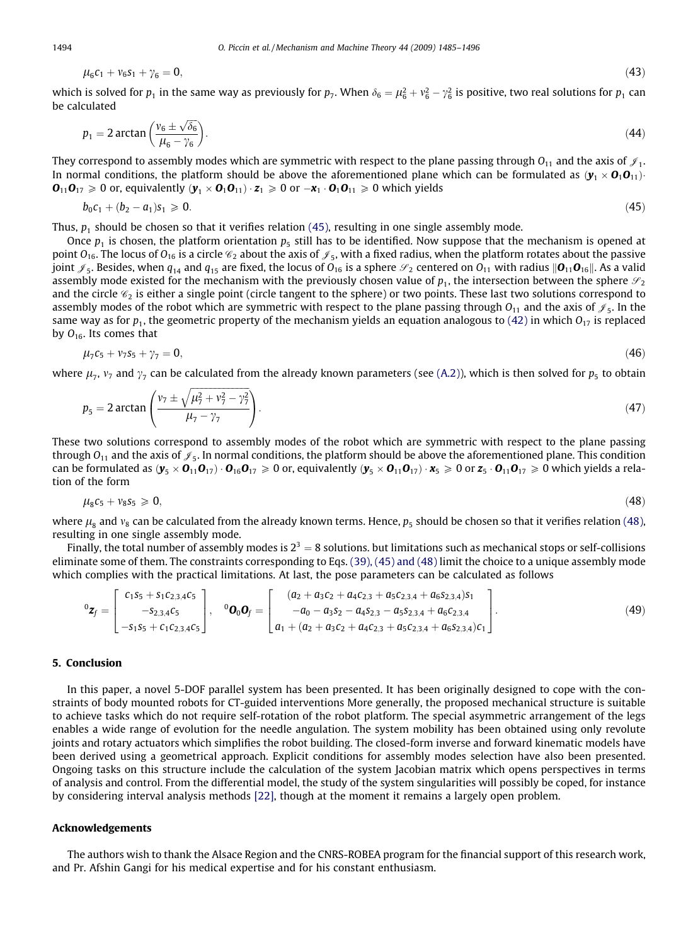$$
\mu_6c_1+\nu_6s_1+\gamma_6=0,
$$

which is solved for  $p_1$  in the same way as previously for  $p_7$ . When  $\delta_6=\mu_6^2+\nu_6^2-\gamma_6^2$  is positive, two real solutions for  $p_1$  can be calculated

$$
p_1 = 2\arctan\left(\frac{v_6 \pm \sqrt{\delta_6}}{\mu_6 - \gamma_6}\right). \tag{44}
$$

They correspond to assembly modes which are symmetric with respect to the plane passing through  $O_{11}$  and the axis of  $\mathcal{J}_1$ . In normal conditions, the platform should be above the aforementioned plane which can be formulated as  $(\mathbf{y}_1 \times \mathbf{0}_1 \mathbf{0}_{11})$  $\mathbf{0}_{11}\mathbf{0}_{17} \geq 0$  or, equivalently  $(\mathbf{y}_1 \times \mathbf{0}_1 \mathbf{0}_{11}) \cdot \mathbf{z}_1 \geq 0$  or  $-\mathbf{x}_1 \cdot \mathbf{0}_1 \mathbf{0}_{11} \geq 0$  which yields

$$
b_0c_1 + (b_2 - a_1)s_1 \ge 0. \tag{45}
$$

Thus,  $p_1$  should be chosen so that it verifies relation (45), resulting in one single assembly mode.

Once  $p_1$  is chosen, the platform orientation  $p_5$  still has to be identified. Now suppose that the mechanism is opened at point  $O_{16}$ . The locus of  $O_{16}$  is a circle  $\mathcal{C}_2$  about the axis of  $\mathcal{J}_5$ , with a fixed radius, when the platform rotates about the passive joint  $\mathcal{J}_5$ . Besides, when  $q_{14}$  and  $q_{15}$  are fixed, the locus of  $O_{16}$  is a sphere  $\mathcal{S}_2$  centered on  $O_{11}$  with radius  $\mathbf{O}_{11}\mathbf{O}_{16}\mathbf{I}$ . As a valid assembly mode existed for the mechanism with the previously chosen value of  $p_1$ , the intersection between the sphere  $\mathcal{S}_2$ and the circle  $\mathcal{C}_2$  is either a single point (circle tangent to the sphere) or two points. These last two solutions correspond to assembly modes of the robot which are symmetric with respect to the plane passing through  $O_{11}$  and the axis of  $\mathcal{J}_5$ . In the same way as for  $p_1$ , the geometric property of the mechanism yields an equation analogous to [\(42\)](#page-8-0) in which  $O_{17}$  is replaced by  $O_{16}$ . Its comes that

$$
\mu_7 c_5 + v_7 s_5 + \gamma_7 = 0, \tag{46}
$$

where  $\mu_7$ ,  $\nu_7$  and  $\gamma_7$  can be calculated from the already known parameters (see (A.2)), which is then solved for  $p_5$  to obtain

$$
p_5 = 2 \arctan\left(\frac{v_7 \pm \sqrt{\mu_7^2 + v_7^2 - \gamma_7^2}}{\mu_7 - \gamma_7}\right).
$$
\n(47)

These two solutions correspond to assembly modes of the robot which are symmetric with respect to the plane passing through  $O_{11}$  and the axis of  $\mathcal{J}_5$ . In normal conditions, the platform should be above the aforementioned plane. This condition can be formulated as  $(\mathbf{y}_5 \times \mathbf{O}_{11}\mathbf{O}_{17}) \cdot \mathbf{O}_{16}\mathbf{O}_{17} \ge 0$  or, equivalently  $(\mathbf{y}_5 \times \mathbf{O}_{11}\mathbf{O}_{17}) \cdot \mathbf{x}_5 \ge 0$  or  $\mathbf{z}_5 \cdot \mathbf{O}_{11}\mathbf{O}_{17} \ge 0$  which yields a relation of the form

$$
\mu_{8}c_{5}+\nu_{8}s_{5}\geqslant0,\tag{48}
$$

where  $\mu_8$  and  $v_8$  can be calculated from the already known terms. Hence,  $p_5$  should be chosen so that it verifies relation (48), resulting in one single assembly mode.

Finally, the total number of assembly modes is  $2^3 = 8$  solutions. but limitations such as mechanical stops or self-collisions eliminate some of them. The constraints corresponding to Eqs. [\(39\), \(45\) and \(48\)](#page-8-0) limit the choice to a unique assembly mode which complies with the practical limitations. At last, the pose parameters can be calculated as follows

$$
{}^{0}\mathbf{z}_{f} = \begin{bmatrix} c_{1}s_{5} + s_{1}c_{2,3,4}c_{5} \\ -s_{2,3,4}c_{5} \\ -s_{1}s_{5} + c_{1}c_{2,3,4}c_{5} \end{bmatrix}, \quad {}^{0}\mathbf{O}_{0}\mathbf{O}_{f} = \begin{bmatrix} (a_{2} + a_{3}c_{2} + a_{4}c_{2,3} + a_{5}c_{2,3,4} + a_{6}s_{2,3,4})s_{1} \\ -a_{0} - a_{3}s_{2} - a_{4}s_{2,3} - a_{5}s_{2,3,4} + a_{6}c_{2,3,4} \\ a_{1} + (a_{2} + a_{3}c_{2} + a_{4}c_{2,3} + a_{5}c_{2,3,4} + a_{6}s_{2,3,4})c_{1} \end{bmatrix}.
$$
\n
$$
(49)
$$

## 5. Conclusion

In this paper, a novel 5-DOF parallel system has been presented. It has been originally designed to cope with the constraints of body mounted robots for CT-guided interventions More generally, the proposed mechanical structure is suitable to achieve tasks which do not require self-rotation of the robot platform. The special asymmetric arrangement of the legs enables a wide range of evolution for the needle angulation. The system mobility has been obtained using only revolute joints and rotary actuators which simplifies the robot building. The closed-form inverse and forward kinematic models have been derived using a geometrical approach. Explicit conditions for assembly modes selection have also been presented. Ongoing tasks on this structure include the calculation of the system Jacobian matrix which opens perspectives in terms of analysis and control. From the differential model, the study of the system singularities will possibly be coped, for instance by considering interval analysis methods [\[22\]](#page-11-0), though at the moment it remains a largely open problem.

#### Acknowledgements

The authors wish to thank the Alsace Region and the CNRS-ROBEA program for the financial support of this research work, and Pr. Afshin Gangi for his medical expertise and for his constant enthusiasm.

<span id="page-9-0"></span>

$$
\left( 43\right)
$$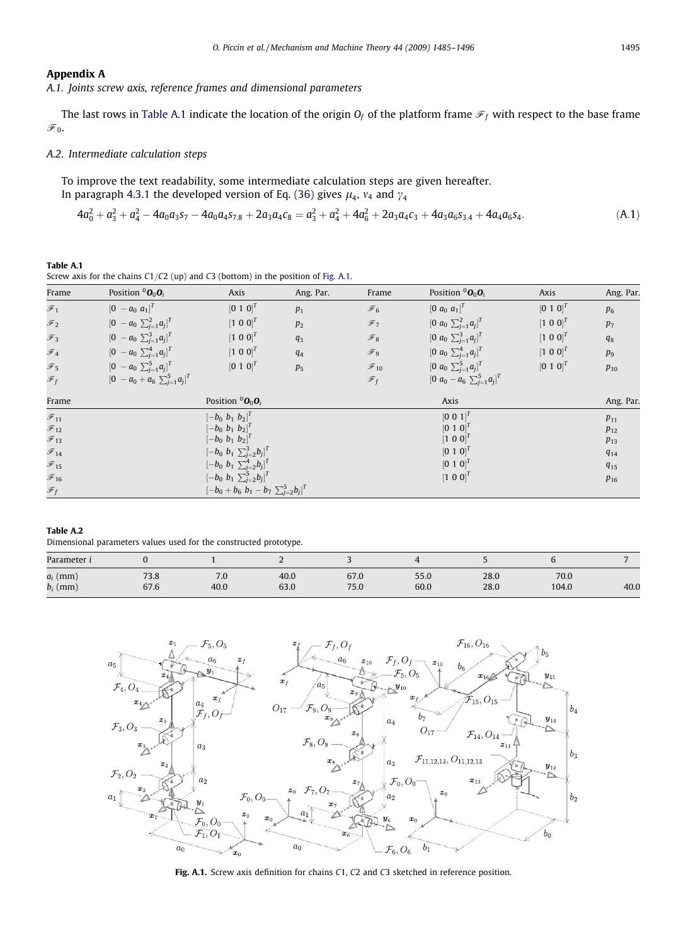# <span id="page-10-0"></span>Appendix A

A.1. Joints screw axis, reference frames and dimensional parameters

The last rows in Table A.1 indicate the location of the origin  $O_f$  of the platform frame  $\mathcal{F}_f$  with respect to the base frame  $\mathcal{F}_0$ .

### A.2. Intermediate calculation steps

To improve the text readability, some intermediate calculation steps are given hereafter. In paragraph 4.3.1 the developed version of Eq. [\(36\)](#page-8-0) gives  $\mu_4$ ,  $\nu_4$  and  $\gamma_4$ 

$$
4a_0^2 + a_3^2 + a_4^2 - 4a_0a_3s_7 - 4a_0a_4s_{7,8} + 2a_3a_4c_8 = a_3^2 + a_4^2 + 4a_6^2 + 2a_3a_4c_3 + 4a_3a_6s_{3,4} + 4a_4a_6s_4.
$$
 (A.1)

Table A.1 Screw axis for the chains  $C1/C2$  (up) and C3 (bottom) in the position of Fig. A.1.

| Frame                      | Position ${}^0O_0O_i$                | Axis                                                | Ang. Par.      | Frame              | Position ${}^0O_0O_i$                  | Axis        | Ang. Par. |
|----------------------------|--------------------------------------|-----------------------------------------------------|----------------|--------------------|----------------------------------------|-------------|-----------|
| $\overline{\mathcal{F}}_1$ | $[0 - a_0 a_1]^T$                    | $[0 1 0]^T$                                         | $p_1$          | $\mathscr{F}_6$    | $[0 \ a_0 \ a_1]^T$                    | $[0 1 0]^T$ | $p_6$     |
| $\mathcal{F}_2$            | $[0 - a_0 \sum_{j=1}^2 a_j]^T$       | $[1 0 0]^T$                                         | p <sub>2</sub> | $\mathscr{F}$ 7    | $[0 \ a_0 \sum_{j=1}^2 a_j]^T$         | $[1 0 0]^T$ | $p_7$     |
| $\overline{\mathcal{F}}_3$ | $[0 - a_0 \sum_{i=1}^3 a_i]^T$       | $[1 0 0]^T$                                         | $q_3$          | $\mathcal{F}_8$    | $[0 \ a_0 \ \sum_{j=1}^3 a_j]^T$       | $[1 0 0]^T$ | $q_8$     |
| $\mathcal{F}_4$            | $[0 - a_0 \sum_{j=1}^4 a_j]^T$       | $[1 0 0]^T$                                         | q <sub>4</sub> | $\mathscr{F}_9$    | $[0 \ a_0 \sum_{j=1}^4 a_j]^T$         | $[1 0 0]^T$ | $p_9$     |
| $\mathcal{F}_5$            | $[0 - a_0 \sum_{j=1}^{5} a_j]^T$     | $[0 1 0]^T$                                         | p <sub>5</sub> | $\mathcal{F}_{10}$ | $[0 \ a_0 \sum_{j=1}^5 a_j]^T$         | $[0 1 0]^T$ | $p_{10}$  |
| $\mathscr{F}_f$            | $[0 - a_0 + a_6 \sum_{j=1}^5 a_j]^T$ |                                                     |                | $\mathscr{F}_f$    | $[0 \ a_0 - a_6 \ \sum_{i=1}^5 a_i]^T$ |             |           |
| Frame                      |                                      | Position ${}^0O_0O_i$                               |                |                    | Axis                                   |             | Ang. Par. |
| $\mathcal{F}_{11}$         |                                      | $[-b_0 \; b_1 \; b_2]^T$                            |                |                    | $[0 0 1]^T$                            |             | $p_{11}$  |
| $\mathcal{F}_{12}$         |                                      | $[-b_0 \; b_1 \; b_2]^T$                            |                |                    | $[0 1 0]^T$                            |             | $p_{12}$  |
| $\mathscr{F}_{13}$         |                                      | $[-b_0 \; b_1 \; b_2]^T$                            |                |                    | $[1 0 0]^T$                            |             | $p_{13}$  |
| $\mathscr{F}_{14}$         |                                      | $[-b_0 \; b_1 \; \sum_{i=2}^3 b_i]^T$               |                |                    | $[0 1 0]^T$                            |             | $q_{14}$  |
| $\mathscr{F}_{15}$         |                                      | $[-b_0 \; b_1 \; \sum_{j=2}^4 b_j]^T$               |                |                    | $[0 1 0]^T$                            |             | $q_{15}$  |
| $\mathscr{F}_\textrm{16}$  |                                      | $[-b_0 \; b_1 \; \sum_{j=2}^5 b_j]^T$               |                |                    | $[1 0 0]^T$                            |             | $p_{16}$  |
| $\mathscr{F}_f$            |                                      | $[-b_0 + b_6 \; b_1 - b_7 \; \sum_{i=2}^{5} b_i]^T$ |                |                    |                                        |             |           |

#### Table A.2 Dimensional parameters values used for the constructed prototype.

| Parameter i |      |      | -    |      |      |      |       |      |
|-------------|------|------|------|------|------|------|-------|------|
| $a_i$ (mm)  | 73.8 | 7.0  | 40.0 | 67.0 | 55.0 | 28.0 | 70.0  | 40.0 |
| $b_i$ (mm)  | 67.6 | 40.0 | 63.0 | 75.0 | 60.0 | 28.0 | 104.0 |      |



Fig. A.1. Screw axis definition for chains C1, C2 and C3 sketched in reference position.